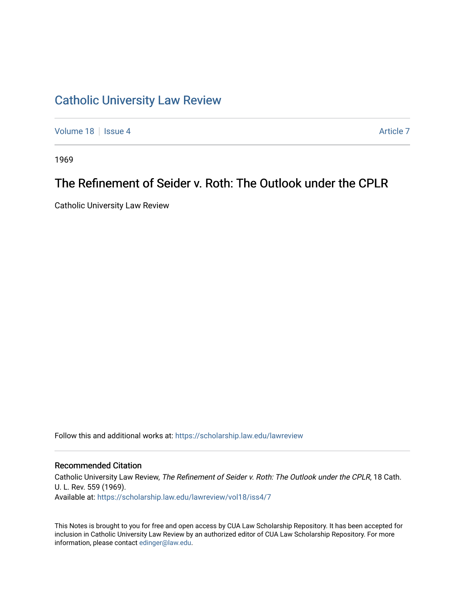## [Catholic University Law Review](https://scholarship.law.edu/lawreview)

[Volume 18](https://scholarship.law.edu/lawreview/vol18) | [Issue 4](https://scholarship.law.edu/lawreview/vol18/iss4) Article 7

1969

## The Refinement of Seider v. Roth: The Outlook under the CPLR

Catholic University Law Review

Follow this and additional works at: [https://scholarship.law.edu/lawreview](https://scholarship.law.edu/lawreview?utm_source=scholarship.law.edu%2Flawreview%2Fvol18%2Fiss4%2F7&utm_medium=PDF&utm_campaign=PDFCoverPages)

## Recommended Citation

Catholic University Law Review, The Refinement of Seider v. Roth: The Outlook under the CPLR, 18 Cath. U. L. Rev. 559 (1969). Available at: [https://scholarship.law.edu/lawreview/vol18/iss4/7](https://scholarship.law.edu/lawreview/vol18/iss4/7?utm_source=scholarship.law.edu%2Flawreview%2Fvol18%2Fiss4%2F7&utm_medium=PDF&utm_campaign=PDFCoverPages)

This Notes is brought to you for free and open access by CUA Law Scholarship Repository. It has been accepted for inclusion in Catholic University Law Review by an authorized editor of CUA Law Scholarship Repository. For more information, please contact [edinger@law.edu.](mailto:edinger@law.edu)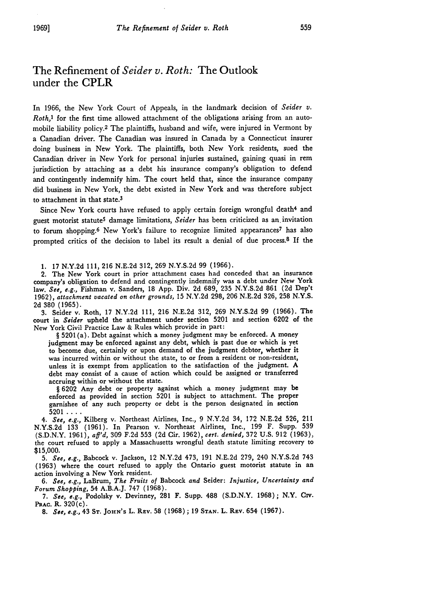## The Refinement of *Seider v. Roth:* The Outlook under the CPLR

In 1966, the New York Court of Appeals, in the landmark decision of *Seider v. Roth*,<sup>*1*</sup> for the first time allowed attachment of the obligations arising from an automobile liability policy.2 The plaintiffs, husband and wife, were injured in Vermont by a Canadian driver. The Canadian was insured in Canada by a Connecticut insurer doing business in New York. The plaintiffs, both New York residents, sued the Canadian driver in New York for personal injuries sustained, gaining quasi in rem jurisdiction by attaching as a debt his insurance company's obligation to defend and contingently indemnify him. The court held that, since the insurance company did business in New York, the debt existed in New York and was therefore subject to attachment in that state.3

Since New York courts have refused to apply certain foreign wrongful death<sup>4</sup> and guest motorist statute5 damage limitations, *Seider* has been criticized as an. invitation to forum shopping.6 New York's failure to recognize limited appearances 7 has also prompted critics of the decision to label its result a denial of due process.8 If the

**1.** 17 N.Y.2d **111, 216** N.E.2d 312, **269** N.Y.S.2d **99 (1966).**

2. The New York court in prior attachment cases had conceded that an insurance company's obligation to defend and contingently indemnify was a debt under New York law. *See, e.g.,* Fishman v. Sanders, **18** App. Div. **2d** 689, 235 N.Y.S.2d **861** (2d Dep't 1962), *attachment vacated on other grounds,* **15** N.Y.2d 298, **206** N.E.2d 326, 258 N.Y.S. 2d **380 (1965).**

3. Seider v. Roth, **17** N.Y.2d **111, 216** N.E.2d **312, 269** N.Y.S.2d **99 (1966).** The court in *Seider* upheld the attachment under section 5201 and section **6202** of the New York Civil Practice Law & Rules which provide in part:

§ 5201 (a). Debt against which a money judgment may be enforced. A money judgment may be enforced against any debt, which is past due or which is yet to become due, certainly or upon demand of the judgment debtor, whether it was incurred within or without the state, to or from a resident or non-resident, unless it is exempt from application to the satisfaction of the judgment. **A** debt may consist of a cause of action which could be assigned or transferred accruing within or without the state.

§ 6202 Any debt or property against which a money judgment may be enforced as provided in section 5201 is subject to attachment. The proper garnishee of any such property or debt is the person designated in section

<sup>5201</sup>.... *4. See, e.g.,* Kilberg v. Northeast Airlines, Inc., 9 N.Y.2d 34, 172 N.E.2d 526, 211 N.Y.S.2d **133 (1961).** In Pearson v. Northeast Airlines, Inc., **199** F. Supp. **539 (S.D.N.Y.** 1961), *aff'd,* **309** F.2d **553** (2d Cir. 1962), *cert. denied,* 372 **U.S.** 912 (1963), the court refused to apply a Massachusetts wrongful death statute limiting recovery to \$15,000.

5. *See, e.g.,* Babcock v. Jackson, 12 N.Y.2d 473, **191** N.E.2d 279, 240 N.Y.S.2d 743 (1963) where the court refused to apply the Ontario guest motorist statute in an action involving a New York resident.

*6. See, e.g.,* LaBrum, *The Fruits of* Babcock *and* Seider: *Injustice, Uncertainty and Forum Shopping,* 54 A.B.A.J. 747 (1968).

*7. See, e.g.,* Podolsky v. Devinney, 281 F. Supp. 488 (S.D.N.Y. 1968); N.Y. **Civ. PRAC.** R. 320(c).

*8. See, e.g.,* 43 **ST.** JOHN's L. REv. 58 (1968); 19 **STAN.** L. REv. 654 (1967).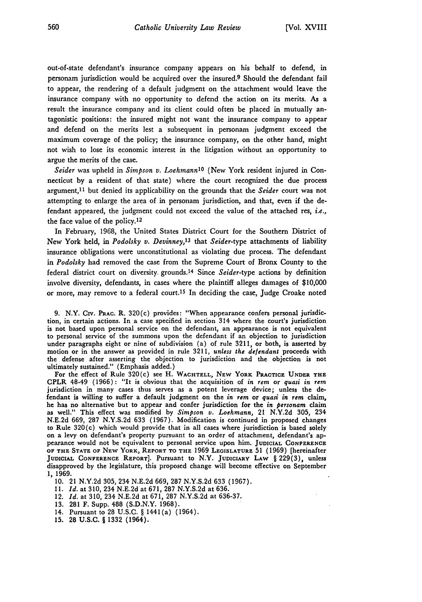out-of-state defendant's insurance company appears on his behalf to defend, in personam jurisdiction would be acquired over the insured.9 Should the defendant fail to appear, the rendering of a default judgment on the attachment would leave the insurance company with no opportunity to defend the action on its merits. As a result the insurance company and its client could often be placed in mutually antagonistic positions: the insured might not want the insurance company to appear and defend on the merits lest a subsequent in personam judgment exceed the maximum coverage of the policy; the insurance company, on the other hand, might not wish to lose its economic interest in the litigation without an opportunity to argue the merits of the case.

*Seider* was upheld in *Simpson v. LoehmannIo* (New York resident injured in Connecticut **by** a resident of that state) where the court recognized the due process argument, 11 but denied its applicability on the grounds that the *Seider* court was not attempting to enlarge the area of in personam jurisdiction, and that, even if the defendant appeared, the judgment could not exceed the value of the attached res, *i.e.,* the face value of the **policy.1<sup>2</sup>**

In February, **1968,** the United States District Court for the Southern District of New York held, in *Podolsky v. Devinney,t3* that *Seider-type* attachments of liability insurance obligations were unconstitutional as violating due process. The defendant in *Podolsky* had removed the case from the Supreme Court of Bronx County to the federal district court on diversity grounds.<sup>14</sup> Since *Seider-type* actions by definition involve diversity, defendants, in cases where the plaintiff alleges damages of \$10,000 or more, may remove to a federal court.15 In deciding the case, Judge Croake noted

**9.** N.Y. Civ. **PRAC.** R. 320(c) provides: "When appearance confers personal jurisdiction, in certain actions. In a case specified in section 314 where the court's jurisdiction is not based upon personal service on the defendant, an appearance is not equivalent to personal service of the summons upon the defendant if an objection to jurisdiction under paragraphs eight or nine of subdivision (a) of rule **3211,** or both, is asserted by motion or in the answer as provided in rule 3211, *unless the defendant* proceeds with the defense after asserting the objection to jurisdiction and the objection is not ultimately sustained." (Emphasis added.)

For the effect of Rule 320(c) see H. **WACHTELL, NEW YORK PRACTICE UNDER THE** CPLR 48-49 **(1966):** "It is obvious that the acquisition of in *rem* **or** *quasi in rem* jurisdiction in many cases thus serves as a potent leverage device; unless the defendant is willing to suffer a default judgment on the in *rem* or *quasi in rem* claim, he has no alternative but to appear and confer jurisdiction for the *in personam* claim as well." This effect was modified **by** *Simpson v. Loehmann,* 21 **N.Y.2d 305,** 234 **N.E.2d 669, 287 N.Y.S.2d 633 (1967).** Modification is continued in proposed changes to Rule 320(c) which would provide that in all cases where jurisdiction is based solely on a levy on defendant's property pursuant to an order of attachment, defendant's appearance would not be equivalent to personal service upon him. **JUDICIAL CONFERENCE OF** THE **STATE** OF **NEW** YORK, REPORT TO THE **1969** LEGISLATURE 51 **(1969)** [hereinafter **JUDICIAL CONFERENCE REPORT].** Pursuant to N.Y. **JUDICIARY LAW** § **229(3),** unless disapproved by the legislature, this proposed change will become effective on September 1, **1969.**

- **10.** 21 N.Y.2d 305, 234 N.E.2d 669, **287** N.Y.S.2d **633** (1967).
- **11.** *Id.* at 310, 234 N.E.2d at 671, **287** N.Y.S.2d at **636.**
- 12. *Id.* at 310, 234 N.E.2d at 671, 287 N.Y.S.2d at **636-37.**
- **13. 281** F. Supp. 488 (S.D.N.Y. **1968).**
- 14. Pursuant to 28 U.S.C. § 1441(a) (1964).
- 15. 28 **U.S.C.** § 1332 (1964).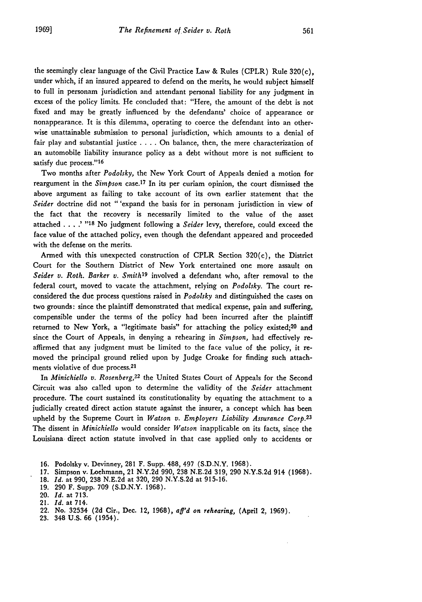the seemingly clear language of the Civil Practice Law & Rules (CPLR) Rule  $320(c)$ , under which, if an insured appeared to defend on the merits, he would subject himself to full in personam jurisdiction and attendant personal liability for any judgment in excess of the policy limits. He concluded that: "Here, the amount of the debt is not fixed and may be greatly influenced by the defendants' choice of appearance or nonappearance. It is this dilemma, operating to coerce the defendant into an otherwise unattainable submission to personal jurisdiction, which amounts to a denial of fair play and substantial justice . **. .** . On balance, then, the mere characterization of an automobile liability insurance policy as a debt without more is not sufficient to satisfy due process."16

Two months after *Podolsky,* the New York Court of Appeals denied a motion for reargument in the *Simpson* case.<sup>17</sup> In its per curiam opinion, the court dismissed the above argument as failing to take account of its own earlier statement that the *Seider* doctrine did not " 'expand the basis for in personam jurisdiction in view of the fact that the recovery is necessarily limited to the value of the asset attached **. '.... "18** No judgment following a *Seider* levy, therefore, could exceed the face value of the attached policy, even though the defendant appeared and proceeded with the defense on the merits.

Armed with this unexpected construction of CPLR Section  $320(c)$ , the District Court for the Southern District of New York entertained one more assault on Seider v. Roth. Barker v. Smith<sup>19</sup> involved a defendant who, after removal to the federal court, moved to vacate the attachment, relying on *Podolsky.* The court reconsidered the due process questions raised in *Podolsky* and distinguished the cases on two grounds: since the plaintiff demonstrated that medical expense, pain and suffering, compensible under the terms of the policy had been incurred after the plaintiff returned to New York, a "legitimate basis" for attaching the policy existed:<sup>20</sup> and since the Court of Appeals, in denying a rehearing in *Simpson,* had effectively reaffirmed that any judgment must be limited to the face value of the policy, it removed the principal ground relied upon by Judge Croake for finding such attachments violative of due process.<sup>21</sup>

In *Minichiello v. Rosenberg,22* the United States Court of Appeals for the Second Circuit was also called upon to determine the validity of the *Seider* attachment procedure. The court sustained its constitutionality by equating the attachment to a judicially created direct action statute against the insurer, a concept which has been upheld by the Supreme Court in *Watson v. Employers Liability Assurance Corp.23* The dissent in *Minichiello* would consider *Watson* inapplicable on its facts, since the Louisiana direct action statute involved in that case applied only to accidents or

- **16.** Podolsky v. Devinney, 281 F. Supp. 488, 497 (S.D.N.Y. 1968).
- 17. Simpson v. Loehmann, 21 N.Y.2d 990, 238 N.E.2d 319, **290** N.Y.S.2d 914 **(1968).**
- **18.** *Id.* at **990,** 238 N.E.2d at 320, **290** N.Y.S.2d at 915-16.
- **19. 290** F. Supp. **709** (S.D.N.Y. 1968).
- 20. *Id.* at 713.
- 21. *Id.* at 714.
- 22. No. 32534 (2d Cir., Dec. 12, 1968), *ag'd on rehearing,* (April 2, 1969).
- 23. 348 U.S. 66 (1954).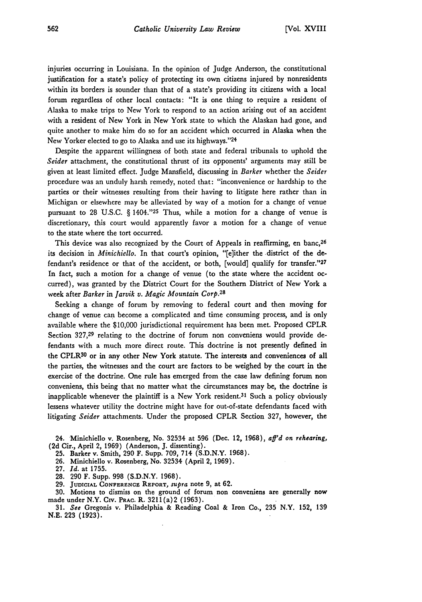injuries occurring in Louisiana. In the opinion of Judge Anderson, the constitutional justification for a state's policy of protecting its own citizens injured by nonresidents within its borders is sounder than that of a state's providing its citizens with a local forum regardless of other local contacts: "It is one thing to require a resident of Alaska to make trips to New York to respond to an action arising out of an accident with a resident of New York in New York state to which the Alaskan had gone, and quite another to make him do so for an accident which occurred in Alaska when the New Yorker elected to go to Alaska and use its highways."24

Despite the apparent willingness of both state and federal tribunals to uphold the *Seider* attachment, the constitutional thrust of its opponents' arguments may still be given at least limited effect. Judge Mansfield, discussing in *Barker* whether the *Seider* procedure was an unduly harsh remedy, noted that: "inconvenience or hardship to the parties or their witnesses resulting from their having to litigate here rather than in Michigan or elsewhere may be alleviated by way of a motion for a change of venue pursuant to 28 U.S.C. § 1404."25 Thus, while a motion for a change of venue is discretionary, this court would apparently favor a motion for a change of venue to the state where the tort occurred.

This device was also recognized by the Court of Appeals in reaffirming, en banc, 26 its decision in *Minichiello.* In that court's opinion, "[e]ither the district of the defendant's residence or that of the accident, or both, [would] qualify for transfer."<sup>27</sup> In fact, such a motion for a change of venue (to the state where the accident occurred), was granted by the District Court for the Southern District of New York a week after *Barker* in *Jarvik v. Magic Mountain Corp.28*

Seeking a change of forum by removing to federal court and then moving for change of venue can become a complicated and time consuming process, and is only available where the \$10,000 jurisdictional requirement has been met. Proposed CPLR Section 327,29 relating to the doctrine of forum non conveniens would provide defendants with a much more direct route. This doctrine is not presently defined in the CPLR30 or in any other New York statute. The interests and conveniences of all the parties, the witnesses and the court are factors to be weighed by the court in the exercise of the doctrine. One rule has emerged from the case law defining forum non conveniens, this being that no matter what the circumstances may be, the doctrine is inapplicable whenever the plaintiff is a New York resident.<sup>31</sup> Such a policy obviously lessens whatever utility the doctrine might have for out-of-state defendants faced with litigating *Seider* attachments. Under the proposed CPLR Section 327, however, the

24. Minichiello v. Rosenberg, No. 32534 at 596 (Dec. 12, 1968), *aff'd on rehearing,* **(2d** Cir., April 2, 1969) (Anderson, J. dissenting).

25. Barker v. Smith, 290 F. Supp. 709, 714 (S.D.N.Y. 1968).

26. Minichiello v. Rosenberg, No. 32534 (April 2, 1969).

- **27.** *Id.* at 1755.
- 28. 290 F. Supp. 998 (S.D.N.Y. 1968).

**29. JUDICIAL CONFERENCE REPORT,** *supra* note 9, at **62.**

30. Motions to dismiss on the ground of forum non conveniens are generally now made under N.Y. Cv. PRAC. R. 3211(a)2 (1963).

31. *See* Gregonis v. Philadelphia & Reading Coal & Iron Co., **235** N.Y. **152, 139 N.E. 223 (1923).**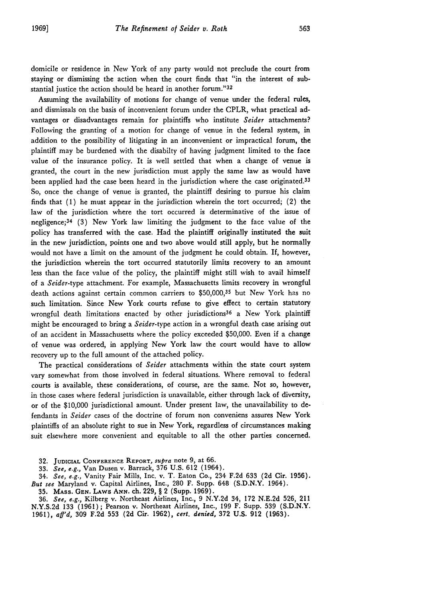domicile or residence in New York of any party would not preclude the court from staying or dismissing the action when the court finds that "in the interest of substantial justice the action should be heard in another forum."32

Assuming the availability of motions for change of venue under the federal rules, and dismissals on the basis of inconvenient forum under the CPLR, what practical advantages or disadvantages remain for plaintiffs who institute *Seider* attachments? Following the granting of a motion for change of venue in the federal system, in addition to the possibility of litigating in an inconvenient or impractical forum, the plaintiff may be burdened with the disabilty of having judgment limited to the face value of the insurance policy. It is well settled that when a change of venue is granted, the court in the new jurisdiction must apply the same law as would have been applied had the case been heard in the jurisdiction where the case originated.<sup>33</sup> So, once the change of venue is granted, the plaintiff desiring to pursue his claim finds that **(1)** he must appear in the jurisdiction wherein the tort occurred; (2) the law of the jurisdiction where the tort occurred is determinative of the issue of negligence; 34 (3) New York law limiting the judgment to the face value of the policy has transferred with the case. Had the plaintiff originally instituted the suit in the new jurisdiction, points one and two above would still apply, but he normally would not have a limit on the amount of the judgment he could obtain. If, however, the jurisdiction wherein the tort occurred statutorily limits recovery to an amount less than the face value of the policy, the plaintiff might still wish to avail himself of a *Seider-type* attachment. For example, Massachusetts limits recovery in wrongful death actions against certain common carriers to \$50,000,35 but New York has no such limitation. Since New York courts refuse to give effect to certain statutory wrongful death limitations enacted by other jurisdictions36 a New York plaintiff might be encouraged to bring a *Seider-type* action in a wrongful death case arising out of an accident in Massachusetts where the policy exceeded \$50,000. Even if a change of venue was ordered, in applying New York law the court would have to allow recovery up to the full amount of the attached policy.

The practical considerations of *Seider* attachments within the state court system vary somewhat from those involved in federal situations. Where removal to federal courts is available, these considerations, of course, are the same. Not so, however, in those cases where federal jurisdiction is unavailable, either through lack of diversity, or of the \$10,000 jurisdictional amount. Under present law, the unavailability to defendants in *Seider* cases of the doctrine of forum non conveniens assures New York plaintiffs of an absolute right to sue in New York, regardless of circumstances making suit elsewhere more convenient and equitable to all the other parties concerned.

**32.** JUDICIAL CONFERENCE **REPORT,** *supra* note **9,** at 66.

33. *See, e.g.,* Van Dusen v. Barrack, 376 U.S. 612 (1964).

34. *See, e.g.,* Vanity Fair Mills, Inc. v. T. Eaton Co., 234 F.2d 633 (2d Cir. 1956). *But see* Maryland v. Capital Airlines, Inc., 280 F. Supp. 648 (S.D.N.Y. 1964).

**35. MAss.** GEN. LAWs **ANN.** ch. **229,** § 2 (Supp. **1969).**

**36.** *See, e.g.,* Kilberg v. Northeast Airlines, Inc., **9** N.Y.2d 34, **172** N.E.2d 526, 211 N.Y.S.2d **133** (1961); Pearson v. Northeast Airlines, Inc., **199** F. Supp. **539** (S.D.N.Y. **1961),** *aff'd,* **309** F.2d 553 **(2d** Cir. **1962),** *cert. denied,* **372** U.S. **912 (1963).**